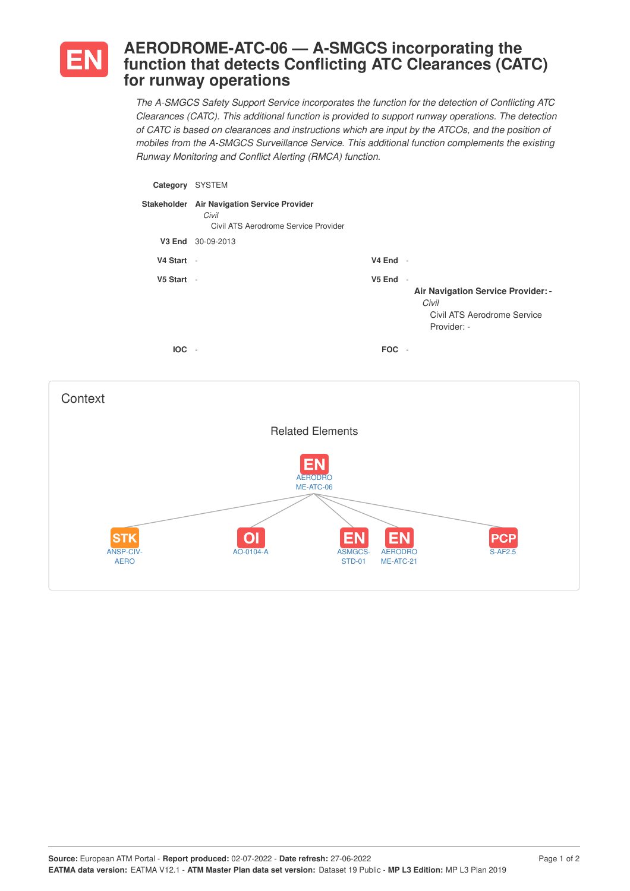

## **AERODROME-ATC-06 — A-SMGCS incorporating the function that detects Conflicting ATC Clearances (CATC) for runway operations**

*The A-SMGCS Safety Support Service incorporates the function for the detection of Conflicting ATC Clearances (CATC). This additional function is provided to support runway operations. The detection of CATC is based on clearances and instructions which are input by the ATCOs, and the position of mobiles from the A-SMGCS Surveillance Service. This additional function complements the existing Runway Monitoring and Conflict Alerting (RMCA) function.*